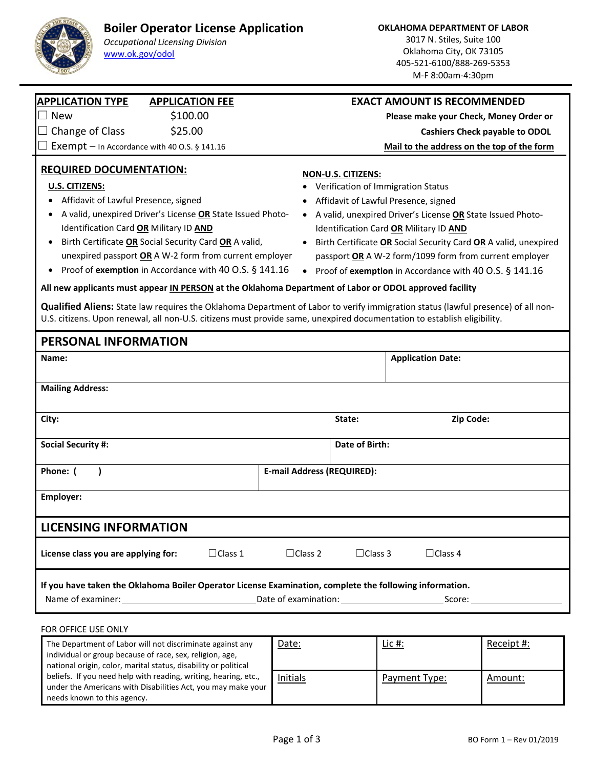## **Boiler Operator License Application**



## *Occupational Licensing Division* www.ok.gov/odol

3017 N. Stiles, Suite 100 Oklahoma City, OK 73105 405‐521‐6100/888‐269‐5353 M‐F 8:00am‐4:30pm

| <b>APPLICATION TYPE</b><br><b>APPLICATION FEE</b><br><b>EXACT AMOUNT IS RECOMMENDED</b><br><b>New</b><br>\$100.00<br>$\Box$<br>Please make your Check, Money Order or<br>Change of Class<br>\$25.00<br><b>Cashiers Check payable to ODOL</b><br>Exempt $-$ In Accordance with 40 O.S. § 141.16<br>Mail to the address on the top of the form<br><b>REQUIRED DOCUMENTATION:</b><br><u>NON-U.S. CITIZENS:</u><br>U.S. CITIZENS:<br>Verification of Immigration Status<br>Affidavit of Lawful Presence, signed<br>Affidavit of Lawful Presence, signed                                                                                                                                                                                                                                                                                                                                                                                                                                   |  |
|---------------------------------------------------------------------------------------------------------------------------------------------------------------------------------------------------------------------------------------------------------------------------------------------------------------------------------------------------------------------------------------------------------------------------------------------------------------------------------------------------------------------------------------------------------------------------------------------------------------------------------------------------------------------------------------------------------------------------------------------------------------------------------------------------------------------------------------------------------------------------------------------------------------------------------------------------------------------------------------|--|
|                                                                                                                                                                                                                                                                                                                                                                                                                                                                                                                                                                                                                                                                                                                                                                                                                                                                                                                                                                                       |  |
|                                                                                                                                                                                                                                                                                                                                                                                                                                                                                                                                                                                                                                                                                                                                                                                                                                                                                                                                                                                       |  |
|                                                                                                                                                                                                                                                                                                                                                                                                                                                                                                                                                                                                                                                                                                                                                                                                                                                                                                                                                                                       |  |
| A valid, unexpired Driver's License OR State Issued Photo-<br>A valid, unexpired Driver's License OR State Issued Photo-<br>Identification Card OR Military ID AND<br>Identification Card OR Military ID AND<br>Birth Certificate OR Social Security Card OR A valid,<br>• Birth Certificate OR Social Security Card OR A valid, unexpired<br>unexpired passport OR A W-2 form from current employer<br>passport OR A W-2 form/1099 form from current employer<br>Proof of exemption in Accordance with 40 O.S. § 141.16<br>Proof of exemption in Accordance with 40 O.S. § 141.16<br>$\bullet$<br>$\bullet$<br>All new applicants must appear IN PERSON at the Oklahoma Department of Labor or ODOL approved facility<br>Qualified Aliens: State law requires the Oklahoma Department of Labor to verify immigration status (lawful presence) of all non-<br>U.S. citizens. Upon renewal, all non-U.S. citizens must provide same, unexpired documentation to establish eligibility. |  |
| <b>PERSONAL INFORMATION</b>                                                                                                                                                                                                                                                                                                                                                                                                                                                                                                                                                                                                                                                                                                                                                                                                                                                                                                                                                           |  |
| <b>Application Date:</b><br>Name:                                                                                                                                                                                                                                                                                                                                                                                                                                                                                                                                                                                                                                                                                                                                                                                                                                                                                                                                                     |  |
| <b>Mailing Address:</b>                                                                                                                                                                                                                                                                                                                                                                                                                                                                                                                                                                                                                                                                                                                                                                                                                                                                                                                                                               |  |
| Zip Code:<br>City:<br>State:                                                                                                                                                                                                                                                                                                                                                                                                                                                                                                                                                                                                                                                                                                                                                                                                                                                                                                                                                          |  |
| <b>Social Security #:</b><br>Date of Birth:                                                                                                                                                                                                                                                                                                                                                                                                                                                                                                                                                                                                                                                                                                                                                                                                                                                                                                                                           |  |
| Phone: (<br><b>E-mail Address (REQUIRED):</b>                                                                                                                                                                                                                                                                                                                                                                                                                                                                                                                                                                                                                                                                                                                                                                                                                                                                                                                                         |  |
| Employer:                                                                                                                                                                                                                                                                                                                                                                                                                                                                                                                                                                                                                                                                                                                                                                                                                                                                                                                                                                             |  |
| <b>LICENSING INFORMATION</b>                                                                                                                                                                                                                                                                                                                                                                                                                                                                                                                                                                                                                                                                                                                                                                                                                                                                                                                                                          |  |
| $\Box$ Class 1<br>$\Box$ Class 4<br>License class you are applying for:<br>$\Box$ Class 2<br>$\Box$ Class 3                                                                                                                                                                                                                                                                                                                                                                                                                                                                                                                                                                                                                                                                                                                                                                                                                                                                           |  |
|                                                                                                                                                                                                                                                                                                                                                                                                                                                                                                                                                                                                                                                                                                                                                                                                                                                                                                                                                                                       |  |
| If you have taken the Oklahoma Boiler Operator License Examination, complete the following information.                                                                                                                                                                                                                                                                                                                                                                                                                                                                                                                                                                                                                                                                                                                                                                                                                                                                               |  |

| The Department of Labor will not discriminate against any<br>individual or group because of race, sex, religion, age,<br>national origin, color, marital status, disability or political | Date:    | <u>Lic #:</u> | Receipt #: |
|------------------------------------------------------------------------------------------------------------------------------------------------------------------------------------------|----------|---------------|------------|
| beliefs. If you need help with reading, writing, hearing, etc.,<br>under the Americans with Disabilities Act, you may make your<br>needs known to this agency.                           | Initials | Payment Type: | Amount:    |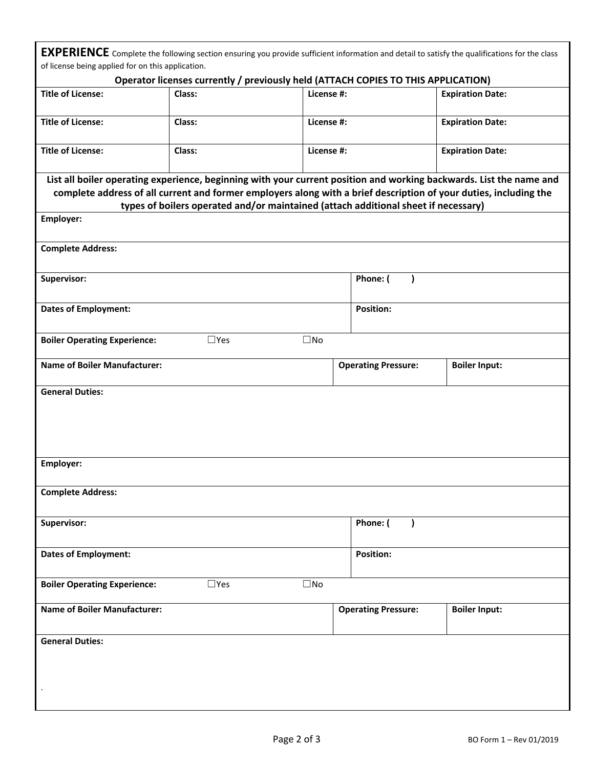**EXPERIENCE** Complete the following section ensuring you provide sufficient information and detail to satisfy the qualifications for the class of license being applied for on this application.

|                                                                                                                                                                                                                                                       | Operator licenses currently / previously held (ATTACH COPIES TO THIS APPLICATION)  |              |                            |                         |  |
|-------------------------------------------------------------------------------------------------------------------------------------------------------------------------------------------------------------------------------------------------------|------------------------------------------------------------------------------------|--------------|----------------------------|-------------------------|--|
| <b>Title of License:</b>                                                                                                                                                                                                                              | Class:                                                                             | License #:   |                            | <b>Expiration Date:</b> |  |
| <b>Title of License:</b>                                                                                                                                                                                                                              | Class:                                                                             | License #:   |                            | <b>Expiration Date:</b> |  |
| <b>Title of License:</b>                                                                                                                                                                                                                              | Class:                                                                             | License #:   |                            | <b>Expiration Date:</b> |  |
| List all boiler operating experience, beginning with your current position and working backwards. List the name and<br>complete address of all current and former employers along with a brief description of your duties, including the<br>Employer: | types of boilers operated and/or maintained (attach additional sheet if necessary) |              |                            |                         |  |
|                                                                                                                                                                                                                                                       |                                                                                    |              |                            |                         |  |
| <b>Complete Address:</b>                                                                                                                                                                                                                              |                                                                                    |              |                            |                         |  |
| Supervisor:                                                                                                                                                                                                                                           |                                                                                    |              | Phone: (<br>$\lambda$      |                         |  |
| <b>Dates of Employment:</b>                                                                                                                                                                                                                           |                                                                                    |              | <b>Position:</b>           |                         |  |
| <b>Boiler Operating Experience:</b>                                                                                                                                                                                                                   | $\square$ Yes                                                                      | $\square$ No |                            |                         |  |
| <b>Name of Boiler Manufacturer:</b>                                                                                                                                                                                                                   |                                                                                    |              | <b>Operating Pressure:</b> | <b>Boiler Input:</b>    |  |
| Employer:                                                                                                                                                                                                                                             |                                                                                    |              |                            |                         |  |
| <b>Complete Address:</b>                                                                                                                                                                                                                              |                                                                                    |              |                            |                         |  |
| Supervisor:                                                                                                                                                                                                                                           |                                                                                    |              | Phone: (                   |                         |  |
| <b>Dates of Employment:</b>                                                                                                                                                                                                                           |                                                                                    |              | <b>Position:</b>           |                         |  |
| <b>Boiler Operating Experience:</b>                                                                                                                                                                                                                   | $\Box$ Yes                                                                         | $\square$ No |                            |                         |  |
| <b>Name of Boiler Manufacturer:</b>                                                                                                                                                                                                                   |                                                                                    |              | <b>Operating Pressure:</b> | <b>Boiler Input:</b>    |  |
| <b>General Duties:</b>                                                                                                                                                                                                                                |                                                                                    |              |                            |                         |  |
|                                                                                                                                                                                                                                                       |                                                                                    |              |                            |                         |  |